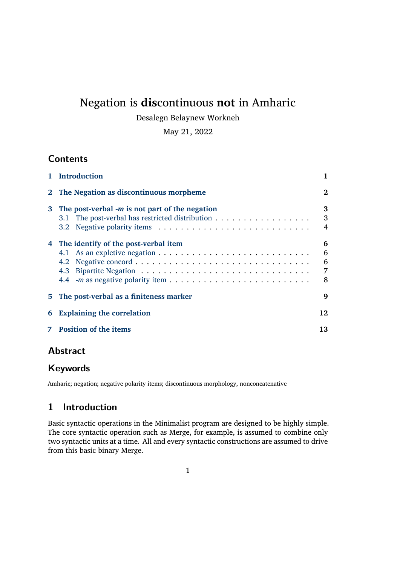# Negation is **dis**continuous **not** in Amharic

### Desalegn Belaynew Workneh

### May 21, 2022

# **Contents**

| 1.          | <b>Introduction</b>                                                                                                                                              |                       |  |  |  |  |
|-------------|------------------------------------------------------------------------------------------------------------------------------------------------------------------|-----------------------|--|--|--|--|
| $2^{\circ}$ | The Negation as discontinuous morpheme                                                                                                                           |                       |  |  |  |  |
| 3           | The post-verbal $-m$ is not part of the negation<br>The post-verbal has restricted distribution $\dots \dots \dots \dots \dots \dots$<br>3.1<br>3.2 <sub>1</sub> | 3<br>3<br>4           |  |  |  |  |
| 4           | The identify of the post-verbal item<br>4.1<br>4.2<br>4.3<br>4.4                                                                                                 | 6<br>6<br>6<br>7<br>8 |  |  |  |  |
| 5.          | The post-verbal as a finiteness marker<br>9                                                                                                                      |                       |  |  |  |  |
| 6           | <b>Explaining the correlation</b>                                                                                                                                |                       |  |  |  |  |
|             | <b>Position of the items</b>                                                                                                                                     |                       |  |  |  |  |

# **[Abstract](#page-11-0)**

# **[Keywords](#page-12-0)**

Amharic; negation; negative polarity items; discontinuous morphology, nonconcatenative

# **1 Introduction**

<span id="page-0-0"></span>Basic syntactic operations in the Minimalist program are designed to be highly simple. The core syntactic operation such as Merge, for example, is assumed to combine only two syntactic units at a time. All and every syntactic constructions are assumed to drive from this basic binary Merge.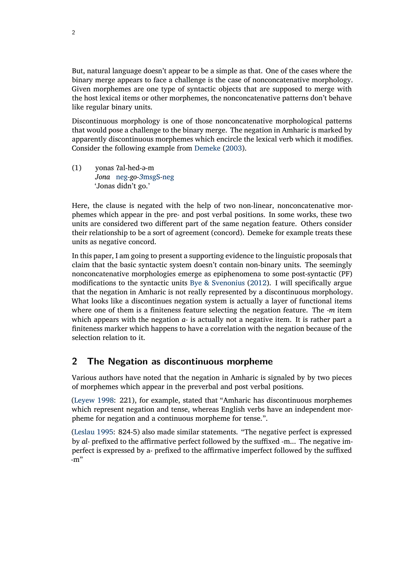But, natural language doesn't appear to be a simple as that. One of the cases where the binary merge appears to face a challenge is the case of nonconcatenative morphology. Given morphemes are one type of syntactic objects that are supposed to merge with the host lexical items or other morphemes, the nonconcatenative patterns don't behave like regular binary units.

Discontinuous morphology is one of those nonconcatenative morphological patterns that would pose a challenge to the binary merge. The negation in Amharic is marked by apparently discontinuous morphemes which encircle the lexical verb which it modifies. Consider the following example from [Demeke](#page-15-0) ([2003](#page-15-0)).

(1) yonas ʔal-hed-ə-m *Jona* neg*-go-3*msgS*-*neg 'Jonas didn't go.'

Here, the clause is negated with the help of two non-linear, nonconcatenative morphemes which appear in the pre- and post verbal positions. In some works, these two units are considered two different part of the same negation feature. Others consider their relationship to be a sort of agreement (concord). Demeke for example treats these units as negative concord.

In this paper, I am going to present a supporting evidence to the linguistic proposals that claim that the basic syntactic system doesn't contain non-binary units. The seemingly nonconcatenative morphologies emerge as epiphenomena to some post-syntactic (PF) modifications to the syntactic units [Bye & Svenonius](#page-15-1) [\(2012\)](#page-15-1). I will specifically argue that the negation in Amharic is not really represented by a discontinuous morphology. What looks like a discontinues negation system is actually a layer of functional items where one of them is a finiteness feature selecting the negation feature. The *-m* item which appears with the negation *a-* is actually not a negative item. It is rather part a finiteness marker which happens to have a correlation with the negation because of the selection relation to it.

## <span id="page-1-0"></span>**2 The Negation as discontinuous morpheme**

Various authors have noted that the negation in Amharic is signaled by by two pieces of morphemes which appear in the preverbal and post verbal positions.

[\(Leyew](#page-15-2) [1998:](#page-15-2) 221), for example, stated that "Amharic has discontinuous morphemes which represent negation and tense, whereas English verbs have an independent morpheme for negation and a continuous morpheme for tense.".

[\(Leslau](#page-15-3) [1995:](#page-15-3) 824-5) also made similar statements. "The negative perfect is expressed by *al-* prefixed to the affirmative perfect followed by the suffixed -m... The negative imperfect is expressed by a- prefixed to the affirmative imperfect followed by the suffixed -m"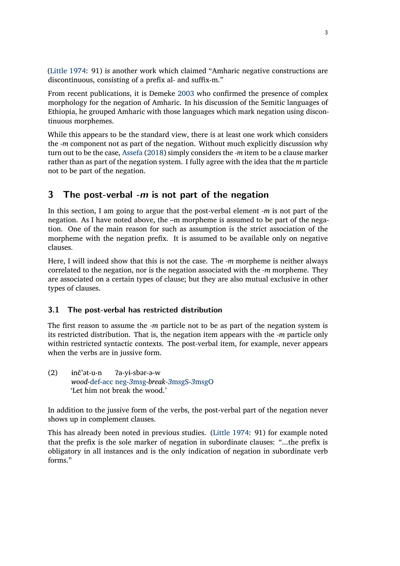([Little](#page-15-4) [1974:](#page-15-4) 91) is another work which claimed "Amharic negative constructions are discontinuous, consisting of a prefix al- and suffix-m."

From recent publications, it is Demeke [2003](#page-15-0) who confirmed the presence of complex morphology for the negation of Amharic. In his discussion of the Semitic languages of Ethiopia, he grouped Amharic with those languages which mark negation using discontinuous morphemes.

While this appears to be the standard view, there is at least one work which considers the *-m* component not as part of the negation. Without much explicitly discussion why turn out to be the case, [Assefa](#page-15-5) ([2018](#page-15-5)) simply considers the *-m* item to be a clause marker rather than as part of the negation system. I fully agree with the idea that the *m* particle not to be part of the negation.

### <span id="page-2-0"></span>**3 The post-verbal** *-m* **is not part of the negation**

In this section, I am going to argue that the post-verbal element *-m* is not part of the negation. As I have noted above, the –m morpheme is assumed to be part of the negation. One of the main reason for such as assumption is the strict association of the morpheme with the negation prefix. It is assumed to be available only on negative clauses.

Here, I will indeed show that this is not the case. The *-m* morpheme is neither always correlated to the negation, nor is the negation associated with the *-m* morpheme. They are associated on a certain types of clause; but they are also mutual exclusive in other types of clauses.

#### <span id="page-2-1"></span>**3.1 The post-verbal has restricted distribution**

The first reason to assume the *-m* particle not to be as part of the negation system is its restricted distribution. That is, the negation item appears with the *-m* particle only within restricted syntactic contexts. The post-verbal item, for example, never appears when the verbs are in jussive form.

(2) ɨnč'ət-u-n *wood-*def*-*acc neg*-3*msg*-break-3*msgS*-3*msgO ʔa-yɨ-sbər-ə-w 'Let him not break the wood.'

In addition to the jussive form of the verbs, the post-verbal part of the negation never shows up in complement clauses.

This has already been noted in previous studies. [\(Little](#page-15-4) [1974:](#page-15-4) 91) for example noted that the prefix is the sole marker of negation in subordinate clauses: "...the prefix is obligatory in all instances and is the only indication of negation in subordinate verb forms."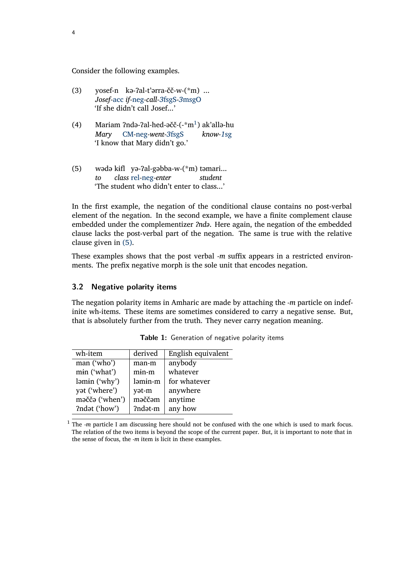Consider the following examples.

- (3) yosef-n kə-ʔal-t'ərra-čč-w-(\*m) ... *Josef-*acc *if-*neg*-call-3*fsgS*-3*msgO 'If she didn't call Josef...'
- (4) Mariam ?ndə-?al-hed-əčč-(-\*m<sup>1</sup>) ak'allə-hu *Mary* CM*-*neg*-went-3*fsgS *know-1*sg 'I know that Mary didn't go.'
- <span id="page-3-1"></span>(5) wədə kɨfl yə-ʔal-gəbba-w-(\*m) təmari... *to class* rel*-*neg*-enter student* 'The student who didn't enter to class...'

In the first example, the negation of the conditional clause contains no post-verbal element of the negation. In the second example, we have a finite complement clause embedded under the complementizer *ʔndə*. Here again, the negation of the embedded clause lacks the post-verbal part of the negation. The same is true with the relative clause given in [\(5\).](#page-3-1)

These examples shows that the post verbal *-m* suffix appears in a restricted environments. The prefix negative morph is the sole unit that encodes negation.

#### <span id="page-3-0"></span>**3.2 Negative polarity items**

The negation polarity items in Amharic are made by attaching the *-m* particle on indefinite wh-items. These items are sometimes considered to carry a negative sense. But, that is absolutely further from the truth. They never carry negation meaning.

| derived | English equivalent |  |
|---------|--------------------|--|
| man-m   | anybody            |  |
| $min-m$ | whatever           |  |
| ləmin-m | for whatever       |  |
| yət-m   | anywhere           |  |
| məččəm  | anytime            |  |
| ?ndət-m | any how            |  |
|         |                    |  |

|  | Table 1: Generation of negative polarity items |  |  |  |  |
|--|------------------------------------------------|--|--|--|--|
|--|------------------------------------------------|--|--|--|--|

<sup>1</sup> The *-m* particle I am discussing here should not be confused with the one which is used to mark focus. The relation of the two items is beyond the scope of the current paper. But, it is important to note that in the sense of focus, the *-m* item is licit in these examples.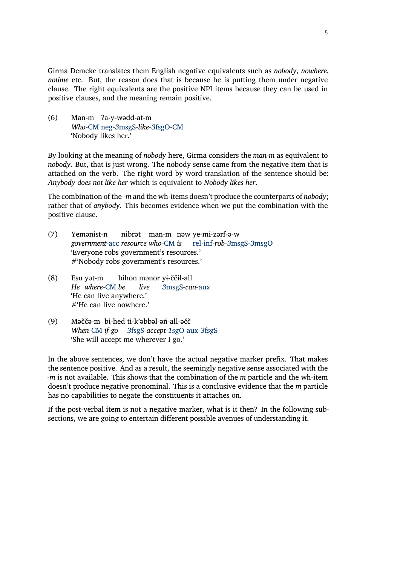Girma Demeke translates them English negative equivalents such as *nobody*, *nowhere*, *notime* etc. But, the reason does that is because he is putting them under negative clause. The right equivalents are the positive NPI items because they can be used in positive clauses, and the meaning remain positive.

(6) Man-m ʔa-y-wədd-at-m *Who-*CM neg*-3*msgS*-like-3*fsgO*-*CM 'Nobody likes her.'

By looking at the meaning of *nobody* here, Girma considers the *man-m* as equivalent to *nobody*. But, that is just wrong. The nobody sense came from the negative item that is attached on the verb. The right word by word translation of the sentence should be: *Anybody does not like her* which is equivalent to *Nobody likes her*.

The combination of the *-m* and the wh-items doesn't produce the counterparts of *nobody*; rather that of *anybody*. This becomes evidence when we put the combination with the positive clause.

- (7) Yemənɨst-n *government-*acc *resource who-*CM *is* nɨbrət man-m nəw ye-mi-zərf-ə-w rel*-*inf*-rob-3*msgS*-3*msgO 'Everyone robs government's resources.' #'Nobody robs government's resources.'
- (8) Esu yət-m *He where-*CM *be* bihon mənor yɨ-ččɨl-all *live 3*msgS*-can-*aux 'He can live anywhere.' #'He can live nowhere.'
- (9) Məččə-m bɨ-hed tɨ-k'əbbəl-əñ-all-əčč *When-*CM *if-go 3*fsgS*-accept-1*sgO*-*aux*-3*fsgS 'She will accept me wherever I go.'

In the above sentences, we don't have the actual negative marker prefix. That makes the sentence positive. And as a result, the seemingly negative sense associated with the *-m* is not available. This shows that the combination of the *m* particle and the wh-item doesn't produce negative pronominal. This is a conclusive evidence that the *m* particle has no capabilities to negate the constituents it attaches on.

If the post-verbal item is not a negative marker, what is it then? In the following subsections, we are going to entertain different possible avenues of understanding it.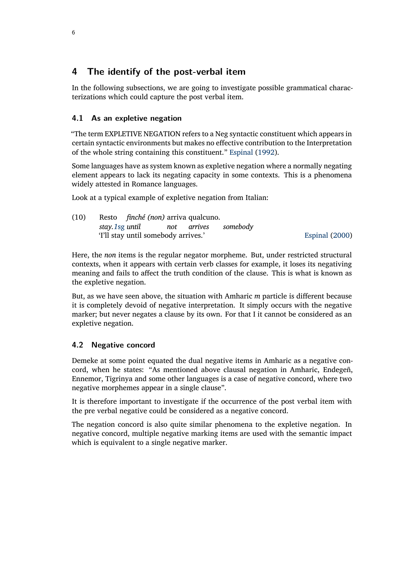# <span id="page-5-0"></span>**4 The identify of the post-verbal item**

In the following subsections, we are going to investigate possible grammatical characterizations which could capture the post verbal item.

### <span id="page-5-1"></span>**4.1 As an expletive negation**

"The term EXPLETIVE NEGATION refers to a Neg syntactic constituent which appears in certain syntactic environments but makes no effective contribution to the Interpretation of the whole string containing this constituent." [Espinal](#page-15-6) [\(1992\)](#page-15-6).

Some languages have as system known as expletive negation where a normally negating element appears to lack its negating capacity in some contexts. This is a phenomena widely attested in Romance languages.

Look at a typical example of expletive negation from Italian:

| (10) |                                     | Resto <i>finché (non)</i> arriva qualcuno. |  |  |  |                |
|------|-------------------------------------|--------------------------------------------|--|--|--|----------------|
|      |                                     | stay.1sg until bot arrives somebody        |  |  |  |                |
|      | 'I'll stay until somebody arrives.' |                                            |  |  |  | Espinal (2000) |

Here, the *non* items is the regular negator morpheme. But, under restricted structural contexts, when it appears with certain verb classes for example, it loses its negativing meaning and fails to affect the truth condition of the clause. This is what is known as the expletive negation.

But, as we have seen above, the situation with Amharic *m* particle is different because it is completely devoid of negative interpretation. It simply occurs with the negative marker; but never negates a clause by its own. For that I it cannot be considered as an expletive negation.

### <span id="page-5-2"></span>**4.2 Negative concord**

Demeke at some point equated the dual negative items in Amharic as a negative concord, when he states: "As mentioned above clausal negation in Amharic, Endegeñ, Ennemor, Tigrinya and some other languages is a case of negative concord, where two negative morphemes appear in a single clause".

It is therefore important to investigate if the occurrence of the post verbal item with the pre verbal negative could be considered as a negative concord.

The negation concord is also quite similar phenomena to the expletive negation. In negative concord, multiple negative marking items are used with the semantic impact which is equivalent to a single negative marker.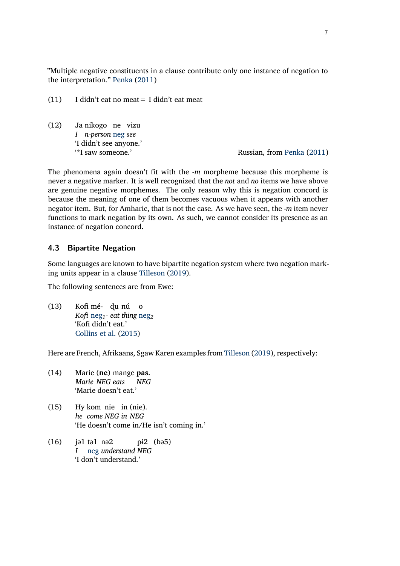"Multiple negative constituents in a clause contribute only one instance of negation to the interpretation." [Penka](#page-16-0) ([2011](#page-16-0))

- (11) I didn't eat no meat= I didn't eat meat
- $(12)$ *I n-person* neg *see* nikogo ne vizu 'I didn't see anyone.'

Russian, from [Penka](#page-16-0) [\(2011\)](#page-16-0)

The phenomena again doesn't fit with the *-m* morpheme because this morpheme is never a negative marker. It is well recognized that the *not* and *no* items we have above are genuine negative morphemes. The only reason why this is negation concord is because the meaning of one of them becomes vacuous when it appears with another negator item. But, for Amharic, that is not the case. As we have seen, the *-m* item never functions to mark negation by its own. As such, we cannot consider its presence as an instance of negation concord.

#### <span id="page-6-0"></span>**4.3 Bipartite Negation**

Some languages are known to have bipartite negation system where two negation marking units appear in a clause [Tilleson](#page-16-1) ([2019](#page-16-1)).

The following sentences are from Ewe:

(13) Kofi mé-ɖu nú o *Kofi* neg*1- eat thing* neg*<sup>2</sup>* 'Kofi didn't eat.' [Collins et al.](#page-15-8) ([2015](#page-15-8))

Here are French, Afrikaans, Sgaw Karen examples from [Tilleson](#page-16-1) [\(2019\)](#page-16-1), respectively:

- (14) Marie (**ne**) mange **pas**. *Marie NEG eats NEG* 'Marie doesn't eat.'
- $(15)$ *he come NEG in NEG* kom nie in (nie). 'He doesn't come in/He isn't coming in.'
- $(16)$ *I* tə1 nə2 neg *understand NEG* pɨ2 (bə5) 'I don't understand.'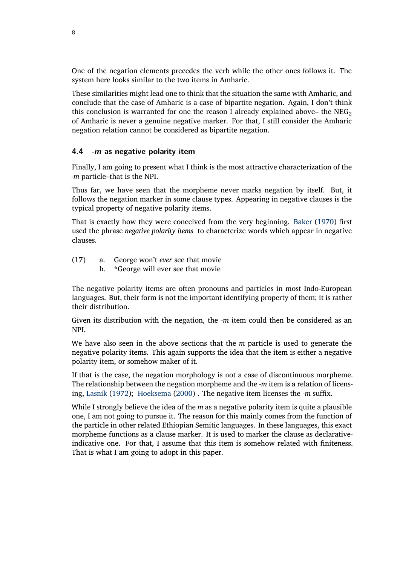One of the negation elements precedes the verb while the other ones follows it. The system here looks similar to the two items in Amharic.

These similarities might lead one to think that the situation the same with Amharic, and conclude that the case of Amharic is a case of bipartite negation. Again, I don't think this conclusion is warranted for one the reason I already explained above– the  $NEG_{2}$ of Amharic is never a genuine negative marker. For that, I still consider the Amharic negation relation cannot be considered as bipartite negation.

#### <span id="page-7-0"></span>**4.4** *-m* **as negative polarity item**

Finally, I am going to present what I think is the most attractive characterization of the *-m* particle–that is the NPI.

Thus far, we have seen that the morpheme never marks negation by itself. But, it follows the negation marker in some clause types. Appearing in negative clauses is the typical property of negative polarity items.

That is exactly how they were conceived from the very beginning. [Baker](#page-15-9) ([1970](#page-15-9)) first used the phrase *negative polarity items* to characterize words which appear in negative clauses.

- (17) a. George won't *ever* see that movie
	- b. \*George will ever see that movie

The negative polarity items are often pronouns and particles in most Indo-European languages. But, their form is not the important identifying property of them; it is rather their distribution.

Given its distribution with the negation, the *-m* item could then be considered as an NPI.

We have also seen in the above sections that the *m* particle is used to generate the negative polarity items. This again supports the idea that the item is either a negative polarity item, or somehow maker of it.

If that is the case, the negation morphology is not a case of discontinuous morpheme. The relationship between the negation morpheme and the *-m* item is a relation of licensing, [Lasnik](#page-15-10) ([1972](#page-15-10)); [Hoeksema](#page-15-11) [\(2000\)](#page-15-11) . The negative item licenses the *-m* suffix.

While I strongly believe the idea of the *m* as a negative polarity item is quite a plausible one, I am not going to pursue it. The reason for this mainly comes from the function of the particle in other related Ethiopian Semitic languages. In these languages, this exact morpheme functions as a clause marker. It is used to marker the clause as declarativeindicative one. For that, I assume that this item is somehow related with finiteness. That is what I am going to adopt in this paper.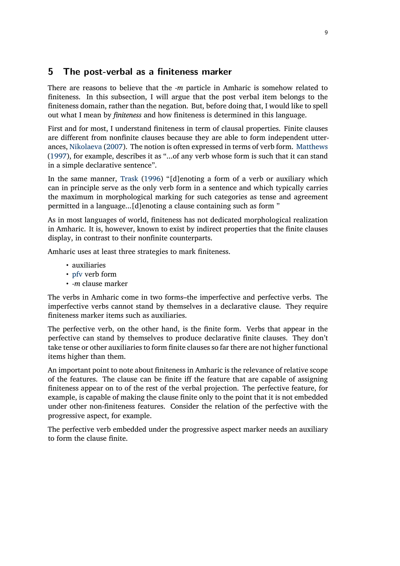### <span id="page-8-0"></span>**5 The post-verbal as a finiteness marker**

There are reasons to believe that the *-m* particle in Amharic is somehow related to finiteness. In this subsection, I will argue that the post verbal item belongs to the finiteness domain, rather than the negation. But, before doing that, I would like to spell out what I mean by *finiteness* and how finiteness is determined in this language.

First and for most, I understand finiteness in term of clausal properties. Finite clauses are different from nonfinite clauses because they are able to form independent utterances, [Nikolaeva](#page-16-2) [\(2007\)](#page-16-2). The notion is often expressed in terms of verb form. [Matthews](#page-15-12) ([1997](#page-15-12)), for example, describes it as "...of any verb whose form is such that it can stand in a simple declarative sentence".

In the same manner, [Trask](#page-16-3) ([1996](#page-16-3)) "[d]enoting a form of a verb or auxiliary which can in principle serve as the only verb form in a sentence and which typically carries the maximum in morphological marking for such categories as tense and agreement permitted in a language...[d]enoting a clause containing such as form "

As in most languages of world, finiteness has not dedicated morphological realization in Amharic. It is, however, known to exist by indirect properties that the finite clauses display, in contrast to their nonfinite counterparts.

Amharic uses at least three strategies to mark finiteness.

- auxiliaries
- pfv verb form
- *-m* clause marker

The verbs in Amharic come in two forms–the imperfective and perfective verbs. The imperfective verbs cannot stand by themselves in a declarative clause. They require finiteness marker items such as auxiliaries.

The perfective verb, on the other hand, is the finite form. Verbs that appear in the perfective can stand by themselves to produce declarative finite clauses. They don't take tense or other auxiliaries to form finite clauses so far there are not higher functional items higher than them.

An important point to note about finiteness in Amharic is the relevance of relative scope of the features. The clause can be finite iff the feature that are capable of assigning finiteness appear on to of the rest of the verbal projection. The perfective feature, for example, is capable of making the clause finite only to the point that it is not embedded under other non-finiteness features. Consider the relation of the perfective with the progressive aspect, for example.

The perfective verb embedded under the progressive aspect marker needs an auxiliary to form the clause finite.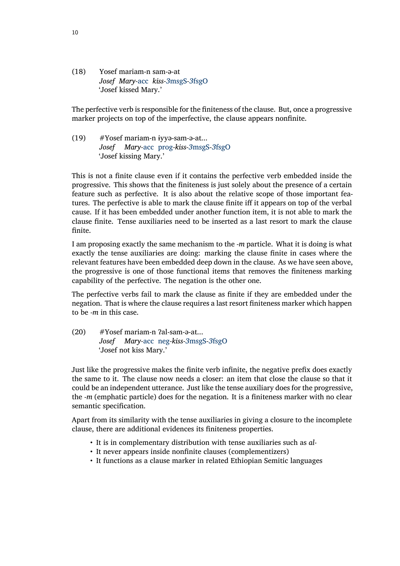(18) Yosef mariam-n sam-ə-at *Josef Mary-*acc *kiss-3*msgS*-3*fsgO 'Josef kissed Mary.'

The perfective verb is responsible for the finiteness of the clause. But, once a progressive marker projects on top of the imperfective, the clause appears nonfinite.

(19) #Yosef mariam-n ɨyyə-sam-ə-at... *Josef Mary-*acc prog*-kiss-3*msgS*-3*fsgO 'Josef kissing Mary.'

This is not a finite clause even if it contains the perfective verb embedded inside the progressive. This shows that the finiteness is just solely about the presence of a certain feature such as perfective. It is also about the relative scope of those important features. The perfective is able to mark the clause finite iff it appears on top of the verbal cause. If it has been embedded under another function item, it is not able to mark the clause finite. Tense auxiliaries need to be inserted as a last resort to mark the clause finite.

I am proposing exactly the same mechanism to the *-m* particle. What it is doing is what exactly the tense auxiliaries are doing: marking the clause finite in cases where the relevant features have been embedded deep down in the clause. As we have seen above, the progressive is one of those functional items that removes the finiteness marking capability of the perfective. The negation is the other one.

The perfective verbs fail to mark the clause as finite if they are embedded under the negation. That is where the clause requires a last resort finiteness marker which happen to be *-m* in this case.

(20) #Yosef mariam-n ʔal-sam-ə-at... *Josef Mary-*acc neg*-kiss-3*msgS*-3*fsgO 'Josef not kiss Mary.'

Just like the progressive makes the finite verb infinite, the negative prefix does exactly the same to it. The clause now needs a closer: an item that close the clause so that it could be an independent utterance. Just like the tense auxiliary does for the progressive, the *-m* (emphatic particle) does for the negation. It is a finiteness marker with no clear semantic specification.

Apart from its similarity with the tense auxiliaries in giving a closure to the incomplete clause, there are additional evidences its finiteness properties.

- It is in complementary distribution with tense auxiliaries such as *al-*
- It never appears inside nonfinite clauses (complementizers)
- It functions as a clause marker in related Ethiopian Semitic languages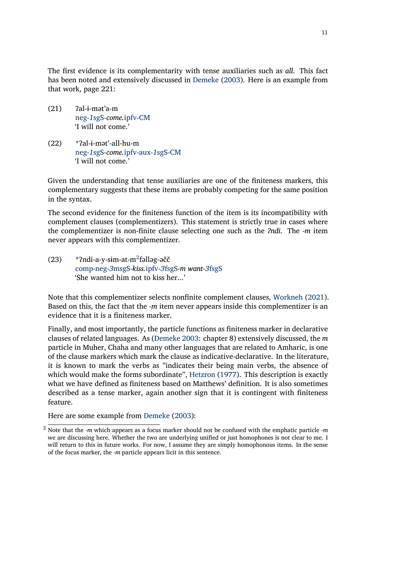The first evidence is its complementarity with tense auxiliaries such as *all*. This fact has been noted and extensively discussed in [Demeke](#page-15-0) [\(2003\)](#page-15-0). Here is an example from that work, page 221:

- $(21)$  ?al-i-mət'a-m neg*-1*sgS*-come.*ipfv*-*CM 'I will not come.'
- (22) \*ʔal-ɨ-mət'-all-hu-m neg*-1*sgS*-come.*ipfv*-*aux*-1*sgS*-*CM 'I will not come.'

Given the understanding that tense auxiliaries are one of the finiteness markers, this complementary suggests that these items are probably competing for the same position in the syntax.

The second evidence for the finiteness function of the item is its incompatibility with complement clauses (complementizers). This statement is strictly true in cases where the complementizer is non-finite clause selecting one such as the *ʔndi*. The *-m* item never appears with this complementizer.

(23) \*?ndi-a-y-sim-at-m<sup>2</sup>fəlləg-əčč comp*-*neg*-3*msgS*-kiss.*ipfv*-3*fsgS*-m want-3*fsgS 'She wanted him not to kiss her...'

Note that this complementizer selects nonfinite complement clauses, [Workneh](#page-16-4) [\(2021\)](#page-16-4). Based on this, the fact that the *-m* item never appears inside this complementizer is an evidence that it is a finiteness marker.

Finally, and most importantly, the particle functions as finiteness marker in declarative clauses of related languages. As([Demeke](#page-15-0) [2003:](#page-15-0) chapter 8) extensively discussed, the *m* particle in Muher, Chaha and many other languages that are related to Amharic, is one of the clause markers which mark the clause as indicative-declarative. In the literature, it is known to mark the verbs as "indicates their being main verbs, the absence of which would make the forms subordinate", [Hetzron](#page-15-13) ([1977](#page-15-13)). This description is exactly what we have defined as finiteness based on Matthews' definition. It is also sometimes described as a tense marker, again another sign that it is contingent with finiteness feature.

Here are some example from [Demeke](#page-15-0) [\(2003\)](#page-15-0):

<sup>2</sup> Note that the *-m* which appears as a focus marker should not be confused with the emphatic particle *-m* we are discussing here. Whether the two are underlying unified or just homophones is not clear to me. I will return to this in future works. For now, I assume they are simply homophonous items. In the sense of the focus marker, the *-m* particle appears licit in this sentence.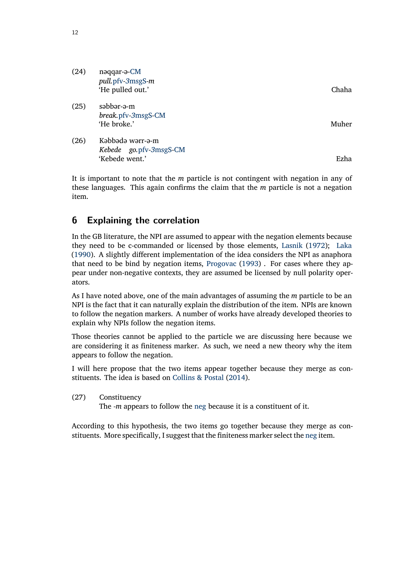| (24) | nəqqar-ə-CM<br>pull.pfv-3msgS-m<br>'He pulled out.'          | Chaha |
|------|--------------------------------------------------------------|-------|
| (25) | səbbər-ə-m<br>break.pfv-3msgS-CM<br>'He broke.'              | Muher |
| (26) | Kəbbədə wərr-ə-m<br>Kebede go.pfv-3msgS-CM<br>'Kebede went.' | Ezha  |

It is important to note that the *m* particle is not contingent with negation in any of these languages. This again confirms the claim that the *m* particle is not a negation item.

# <span id="page-11-0"></span>**6 Explaining the correlation**

In the GB literature, the NPI are assumed to appear with the negation elements because they need to be c-commanded or licensed by those elements, [Lasnik](#page-15-10) [\(1972\)](#page-15-10); [Laka](#page-15-14) [\(1990](#page-15-14)). A slightly different implementation of the idea considers the NPI as anaphora that need to be bind by negation items, [Progovac](#page-16-5) [\(1993\)](#page-16-5) . For cases where they appear under non-negative contexts, they are assumed be licensed by null polarity operators.

As I have noted above, one of the main advantages of assuming the *m* particle to be an NPI is the fact that it can naturally explain the distribution of the item. NPIs are known to follow the negation markers. A number of works have already developed theories to explain why NPIs follow the negation items.

Those theories cannot be applied to the particle we are discussing here because we are considering it as finiteness marker. As such, we need a new theory why the item appears to follow the negation.

I will here propose that the two items appear together because they merge as constituents. The idea is based on [Collins & Postal](#page-15-15) ([2014](#page-15-15)).

(27) Constituency

The *-m* appears to follow the neg because it is a constituent of it.

According to this hypothesis, the two items go together because they merge as constituents. More specifically, I suggest that the finiteness marker select the neg item.

12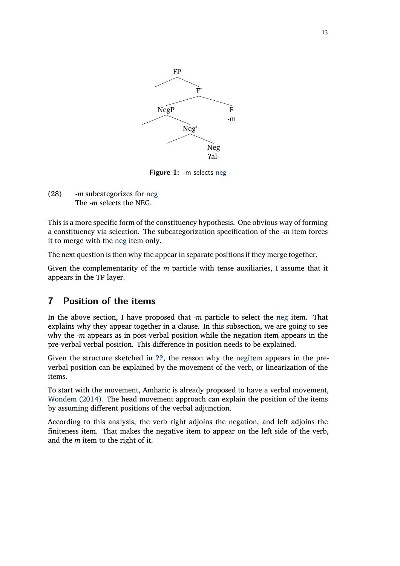<span id="page-12-1"></span>

**Figure 1:** -m selects neg

(28) *-m* subcategorizes for neg The *-m* selects the NEG.

This is a more specific form of the constituency hypothesis. One obvious way of forming a constituency via selection. The subcategorization specification of the *-m* item forces it to merge with the neg item only.

The next question is then why the appear in separate positions if they merge together.

Given the complementarity of the *m* particle with tense auxiliaries, I assume that it appears in the TP layer.

# <span id="page-12-0"></span>**7 Position of the items**

In the above section, I have proposed that *-m* particle to select the neg item. That explains why they appear together in a clause. In this subsection, we are going to see why the *-m* appears as in post-verbal position while the negation item appears in the pre-verbal verbal position. This difference in position needs to be explained.

Given the structure sketched in **[??](#page-12-1)**, the reason why the negitem appears in the preverbal position can be explained by the movement of the verb, or linearization of the items.

To start with the movement, Amharic is already proposed to have a verbal movement, [Wondem](#page-16-6) [\(2014\)](#page-16-6). The head movement approach can explain the position of the items by assuming different positions of the verbal adjunction.

According to this analysis, the verb right adjoins the negation, and left adjoins the finiteness item. That makes the negative item to appear on the left side of the verb, and the *m* item to the right of it.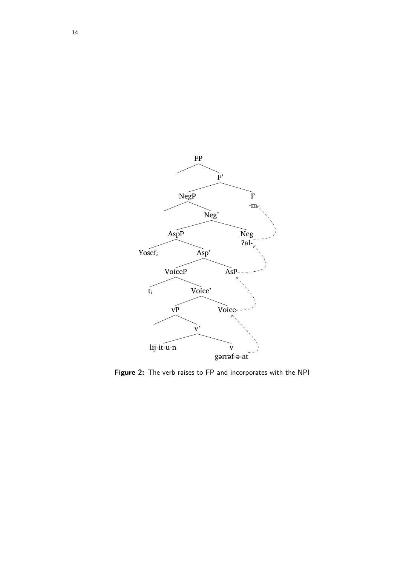

**Figure 2:** The verb raises to FP and incorporates with the NPI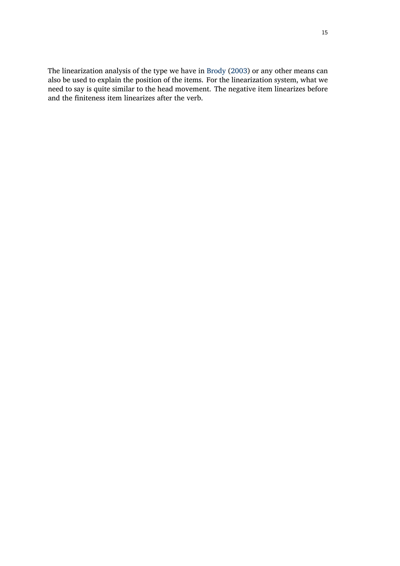The linearization analysis of the type we have in [Brody](#page-15-16) ([2003](#page-15-16)) or any other means can also be used to explain the position of the items. For the linearization system, what we need to say is quite similar to the head movement. The negative item linearizes before and the finiteness item linearizes after the verb.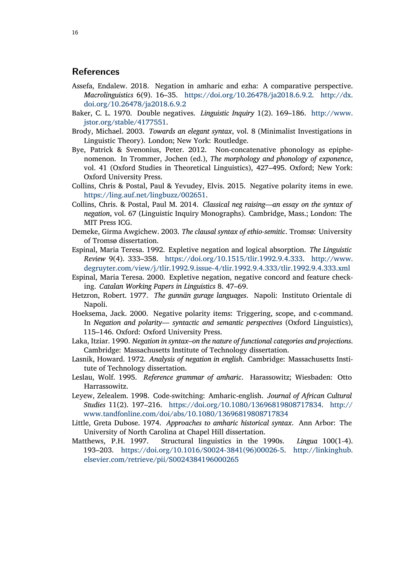### **References**

- <span id="page-15-5"></span>Assefa, Endalew. 2018. Negation in amharic and ezha: A comparative perspective. *Macrolinguistics* 6(9). 16–35. [https://doi.org/10.26478/ja2018.6.9.2.](https://doi.org/10.26478/ja2018.6.9.2) [http://dx.](http://dx.doi.org/10.26478/ja2018.6.9.2) [doi.org/10.26478/ja2018.6.9.2](http://dx.doi.org/10.26478/ja2018.6.9.2)
- <span id="page-15-9"></span>Baker, C. L. 1970. Double negatives. *Linguistic Inquiry* 1(2). 169–186. [http://www.](http://www.jstor.org/stable/4177551) [jstor.org/stable/4177551](http://www.jstor.org/stable/4177551).
- <span id="page-15-16"></span>Brody, Michael. 2003. *Towards an elegant syntax*, vol. 8 (Minimalist Investigations in Linguistic Theory). London; New York: Routledge.
- <span id="page-15-1"></span>Bye, Patrick & Svenonius, Peter. 2012. Non-concatenative phonology as epiphenomenon. In Trommer, Jochen (ed.), *The morphology and phonology of exponence*, vol. 41 (Oxford Studies in Theoretical Linguistics), 427–495. Oxford; New York: Oxford University Press.
- <span id="page-15-8"></span>Collins, Chris & Postal, Paul & Yevudey, Elvis. 2015. Negative polarity items in ewe. <https://ling.auf.net/lingbuzz/002651>.
- <span id="page-15-15"></span>Collins, Chris. & Postal, Paul M. 2014. *Classical neg raising—an essay on the syntax of negation*, vol. 67 (Linguistic Inquiry Monographs). Cambridge, Mass.; London: The MIT Press ICG.
- <span id="page-15-0"></span>Demeke, Girma Awgichew. 2003. *The clausal syntax of ethio-semitic*. Tromsø: University of Tromsø dissertation.
- <span id="page-15-6"></span>Espinal, Maria Teresa. 1992. Expletive negation and logical absorption. *The Linguistic Review* 9(4). 333–358. [https://doi.org/10.1515/tlir.1992.9.4.333.](https://doi.org/10.1515/tlir.1992.9.4.333) [http://www.](http://www.degruyter.com/view/j/tlir.1992.9.issue-4/tlir.1992.9.4.333/tlir.1992.9.4.333.xml) [degruyter.com/view/j/tlir.1992.9.issue-4/tlir.1992.9.4.333/tlir.1992.9.4.333.xml](http://www.degruyter.com/view/j/tlir.1992.9.issue-4/tlir.1992.9.4.333/tlir.1992.9.4.333.xml)
- <span id="page-15-7"></span>Espinal, Maria Teresa. 2000. Expletive negation, negative concord and feature checking. *Catalan Working Papers in Linguistics* 8. 47–69.
- <span id="page-15-13"></span>Hetzron, Robert. 1977. *The gunnän gurage languages*. Napoli: Instituto Orientale di Napoli.
- <span id="page-15-11"></span>Hoeksema, Jack. 2000. Negative polarity items: Triggering, scope, and c-command. In *Negation and polarity— syntactic and semantic perspectives* (Oxford Linguistics), 115–146. Oxford: Oxford University Press.
- <span id="page-15-14"></span>Laka, Itziar. 1990. *Negation in syntax–on the nature of functional categories and projections*. Cambridge: Massachusetts Institute of Technology dissertation.
- <span id="page-15-10"></span>Lasnik, Howard. 1972. *Analysis of negation in english*. Cambridge: Massachusetts Institute of Technology dissertation.
- <span id="page-15-3"></span>Leslau, Wolf. 1995. *Reference grammar of amharic*. Harassowitz; Wiesbaden: Otto Harrassowitz.
- <span id="page-15-2"></span>Leyew, Zelealem. 1998. Code‐switching: Amharic‐english. *Journal of African Cultural Studies* 11(2). 197–216. [https://doi.org/10.1080/13696819808717834.](https://doi.org/10.1080/13696819808717834) [http://](http://www.tandfonline.com/doi/abs/10.1080/13696819808717834) [www.tandfonline.com/doi/abs/10.1080/13696819808717834](http://www.tandfonline.com/doi/abs/10.1080/13696819808717834)
- <span id="page-15-4"></span>Little, Greta Dubose. 1974. *Approaches to amharic historical syntax*. Ann Arbor: The University of North Carolina at Chapel Hill dissertation.
- <span id="page-15-12"></span>Matthews, P.H. 1997. Structural linguistics in the 1990s. *Lingua* 100(1-4). 193–203. [https://doi.org/10.1016/S0024-3841\(96\)00026-5](https://doi.org/10.1016/S0024-3841(96)00026-5). [http://linkinghub.](http://linkinghub.elsevier.com/retrieve/pii/S0024384196000265) [elsevier.com/retrieve/pii/S0024384196000265](http://linkinghub.elsevier.com/retrieve/pii/S0024384196000265)